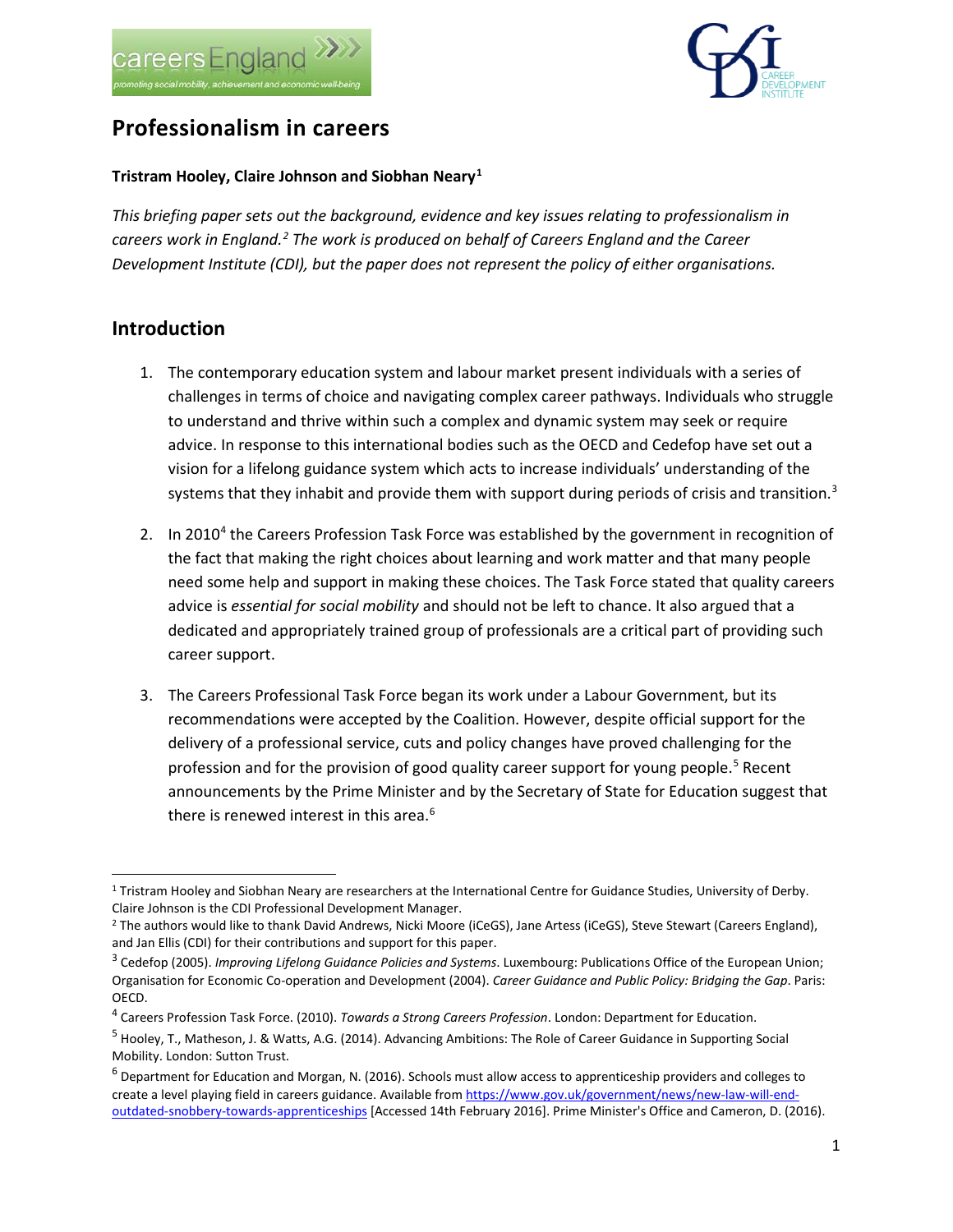



# **Professionalism in careers**

#### **Tristram Hooley, Claire Johnson and Siobhan Neary[1](#page-0-0)**

*This briefing paper sets out the background, evidence and key issues relating to professionalism in careers work in England. [2](#page-0-1) The work is produced on behalf of Careers England and the Career Development Institute (CDI), but the paper does not represent the policy of either organisations.* 

#### **Introduction**

- 1. The contemporary education system and labour market present individuals with a series of challenges in terms of choice and navigating complex career pathways. Individuals who struggle to understand and thrive within such a complex and dynamic system may seek or require advice. In response to this international bodies such as the OECD and Cedefop have set out a vision for a lifelong guidance system which acts to increase individuals' understanding of the systems that they inhabit and provide them with support during periods of crisis and transition. $3$
- 2. In 2010<sup>[4](#page-0-3)</sup> the Careers Profession Task Force was established by the government in recognition of the fact that making the right choices about learning and work matter and that many people need some help and support in making these choices. The Task Force stated that quality careers advice is *essential for social mobility* and should not be left to chance. It also argued that a dedicated and appropriately trained group of professionals are a critical part of providing such career support.
- 3. The Careers Professional Task Force began its work under a Labour Government, but its recommendations were accepted by the Coalition. However, despite official support for the delivery of a professional service, cuts and policy changes have proved challenging for the profession and for the provision of good quality career support for young people.<sup>[5](#page-0-4)</sup> Recent announcements by the Prime Minister and by the Secretary of State for Education suggest that there is renewed interest in this area.<sup>[6](#page-0-5)</sup>

<span id="page-0-0"></span> <sup>1</sup> Tristram Hooley and Siobhan Neary are researchers at the International Centre for Guidance Studies, University of Derby. Claire Johnson is the CDI Professional Development Manager.<br><sup>2</sup> The authors would like to thank David Andrews, Nicki Moore (iCeGS), Jane Artess (iCeGS), Steve Stewart (Careers England),

<span id="page-0-1"></span>and Jan Ellis (CDI) for their contributions and support for this paper.

<span id="page-0-2"></span><sup>3</sup> Cedefop (2005). *Improving Lifelong Guidance Policies and Systems*. Luxembourg: Publications Office of the European Union; Organisation for Economic Co-operation and Development (2004). *Career Guidance and Public Policy: Bridging the Gap*. Paris: OECD.

<span id="page-0-3"></span><sup>4</sup> Careers Profession Task Force. (2010). *Towards a Strong Careers Profession*. London: Department for Education.

<span id="page-0-4"></span><sup>5</sup> Hooley, T., Matheson, J. & Watts, A.G. (2014). Advancing Ambitions: The Role of Career Guidance in Supporting Social Mobility. London: Sutton Trust.

<span id="page-0-5"></span> $6$  Department for Education and Morgan, N. (2016). Schools must allow access to apprenticeship providers and colleges to create a level playing field in careers guidance. Available fro[m https://www.gov.uk/government/news/new-law-will-end](https://www.gov.uk/government/news/new-law-will-end-outdated-snobbery-towards-apprenticeships)[outdated-snobbery-towards-apprenticeships](https://www.gov.uk/government/news/new-law-will-end-outdated-snobbery-towards-apprenticeships) [Accessed 14th February 2016]. Prime Minister's Office and Cameron, D. (2016).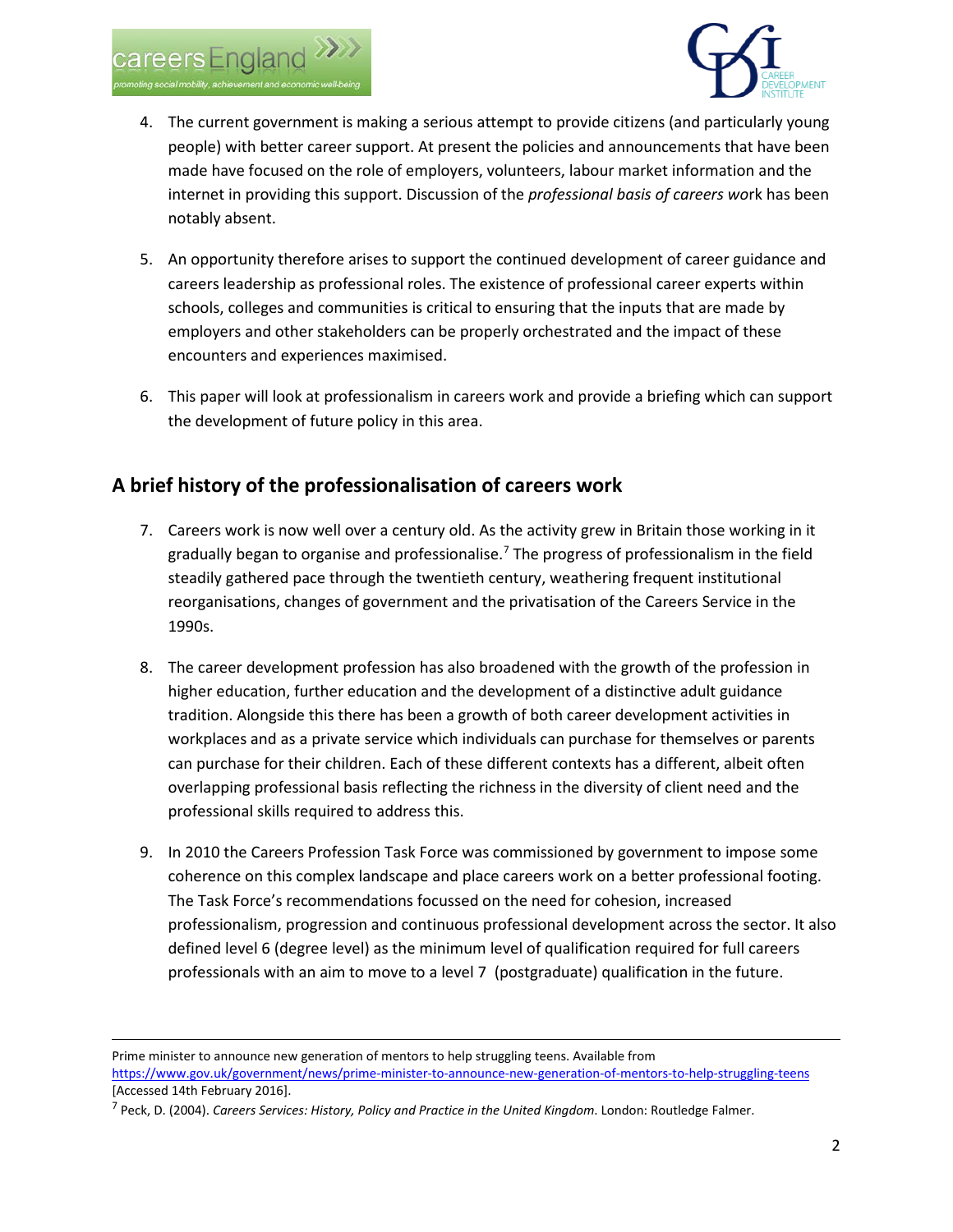

 $\overline{a}$ 



- 4. The current government is making a serious attempt to provide citizens (and particularly young people) with better career support. At present the policies and announcements that have been made have focused on the role of employers, volunteers, labour market information and the internet in providing this support. Discussion of the *professional basis of careers wo*rk has been notably absent.
- 5. An opportunity therefore arises to support the continued development of career guidance and careers leadership as professional roles. The existence of professional career experts within schools, colleges and communities is critical to ensuring that the inputs that are made by employers and other stakeholders can be properly orchestrated and the impact of these encounters and experiences maximised.
- 6. This paper will look at professionalism in careers work and provide a briefing which can support the development of future policy in this area.

### **A brief history of the professionalisation of careers work**

- 7. Careers work is now well over a century old. As the activity grew in Britain those working in it gradually began to organise and professionalise.[7](#page-1-0) The progress of professionalism in the field steadily gathered pace through the twentieth century, weathering frequent institutional reorganisations, changes of government and the privatisation of the Careers Service in the 1990s.
- 8. The career development profession has also broadened with the growth of the profession in higher education, further education and the development of a distinctive adult guidance tradition. Alongside this there has been a growth of both career development activities in workplaces and as a private service which individuals can purchase for themselves or parents can purchase for their children. Each of these different contexts has a different, albeit often overlapping professional basis reflecting the richness in the diversity of client need and the professional skills required to address this.
- 9. In 2010 the Careers Profession Task Force was commissioned by government to impose some coherence on this complex landscape and place careers work on a better professional footing. The Task Force's recommendations focussed on the need for cohesion, increased professionalism, progression and continuous professional development across the sector. It also defined level 6 (degree level) as the minimum level of qualification required for full careers professionals with an aim to move to a level 7 (postgraduate) qualification in the future.

Prime minister to announce new generation of mentors to help struggling teens. Available from <https://www.gov.uk/government/news/prime-minister-to-announce-new-generation-of-mentors-to-help-struggling-teens> [Accessed 14th February 2016].

<span id="page-1-0"></span><sup>7</sup> Peck, D. (2004). *Careers Services: History, Policy and Practice in the United Kingdom*. London: Routledge Falmer.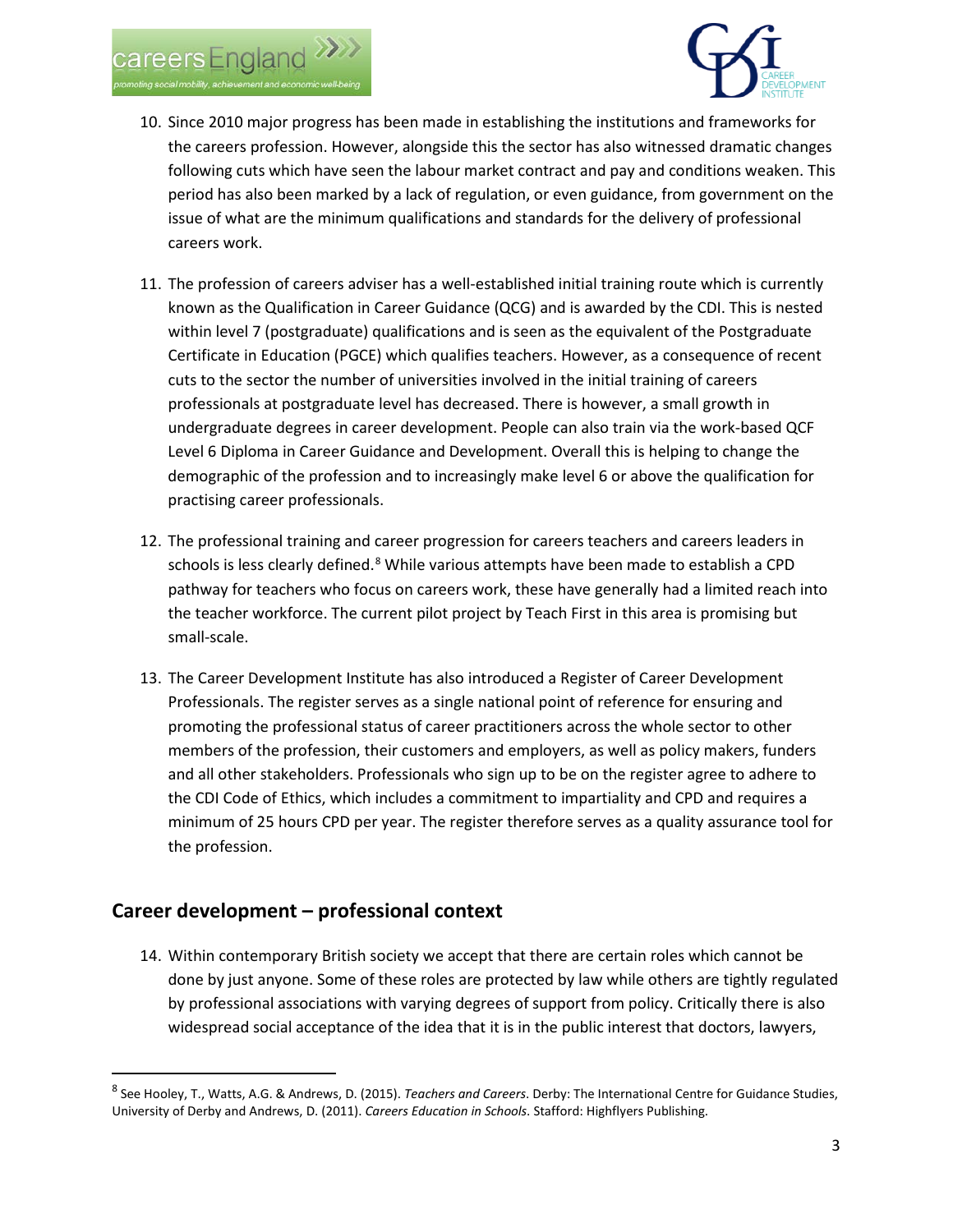



- 10. Since 2010 major progress has been made in establishing the institutions and frameworks for the careers profession. However, alongside this the sector has also witnessed dramatic changes following cuts which have seen the labour market contract and pay and conditions weaken. This period has also been marked by a lack of regulation, or even guidance, from government on the issue of what are the minimum qualifications and standards for the delivery of professional careers work.
- 11. The profession of careers adviser has a well-established initial training route which is currently known as the Qualification in Career Guidance (QCG) and is awarded by the CDI. This is nested within level 7 (postgraduate) qualifications and is seen as the equivalent of the Postgraduate Certificate in Education (PGCE) which qualifies teachers. However, as a consequence of recent cuts to the sector the number of universities involved in the initial training of careers professionals at postgraduate level has decreased. There is however, a small growth in undergraduate degrees in career development. People can also train via the work-based QCF Level 6 Diploma in Career Guidance and Development. Overall this is helping to change the demographic of the profession and to increasingly make level 6 or above the qualification for practising career professionals.
- 12. The professional training and career progression for careers teachers and careers leaders in schools is less clearly defined.<sup>[8](#page-2-0)</sup> While various attempts have been made to establish a CPD pathway for teachers who focus on careers work, these have generally had a limited reach into the teacher workforce. The current pilot project by Teach First in this area is promising but small-scale.
- 13. The Career Development Institute has also introduced a Register of Career Development Professionals. The register serves as a single national point of reference for ensuring and promoting the professional status of career practitioners across the whole sector to other members of the profession, their customers and employers, as well as policy makers, funders and all other stakeholders. Professionals who sign up to be on the register agree to adhere to the CDI Code of Ethics, which includes a commitment to impartiality and CPD and requires a minimum of 25 hours CPD per year. The register therefore serves as a quality assurance tool for the profession.

#### **Career development – professional context**

14. Within contemporary British society we accept that there are certain roles which cannot be done by just anyone. Some of these roles are protected by law while others are tightly regulated by professional associations with varying degrees of support from policy. Critically there is also widespread social acceptance of the idea that it is in the public interest that doctors, lawyers,

<span id="page-2-0"></span> <sup>8</sup> See Hooley, T., Watts, A.G. & Andrews, D. (2015). *Teachers and Careers*. Derby: The International Centre for Guidance Studies, University of Derby and Andrews, D. (2011). *Careers Education in Schools*. Stafford: Highflyers Publishing.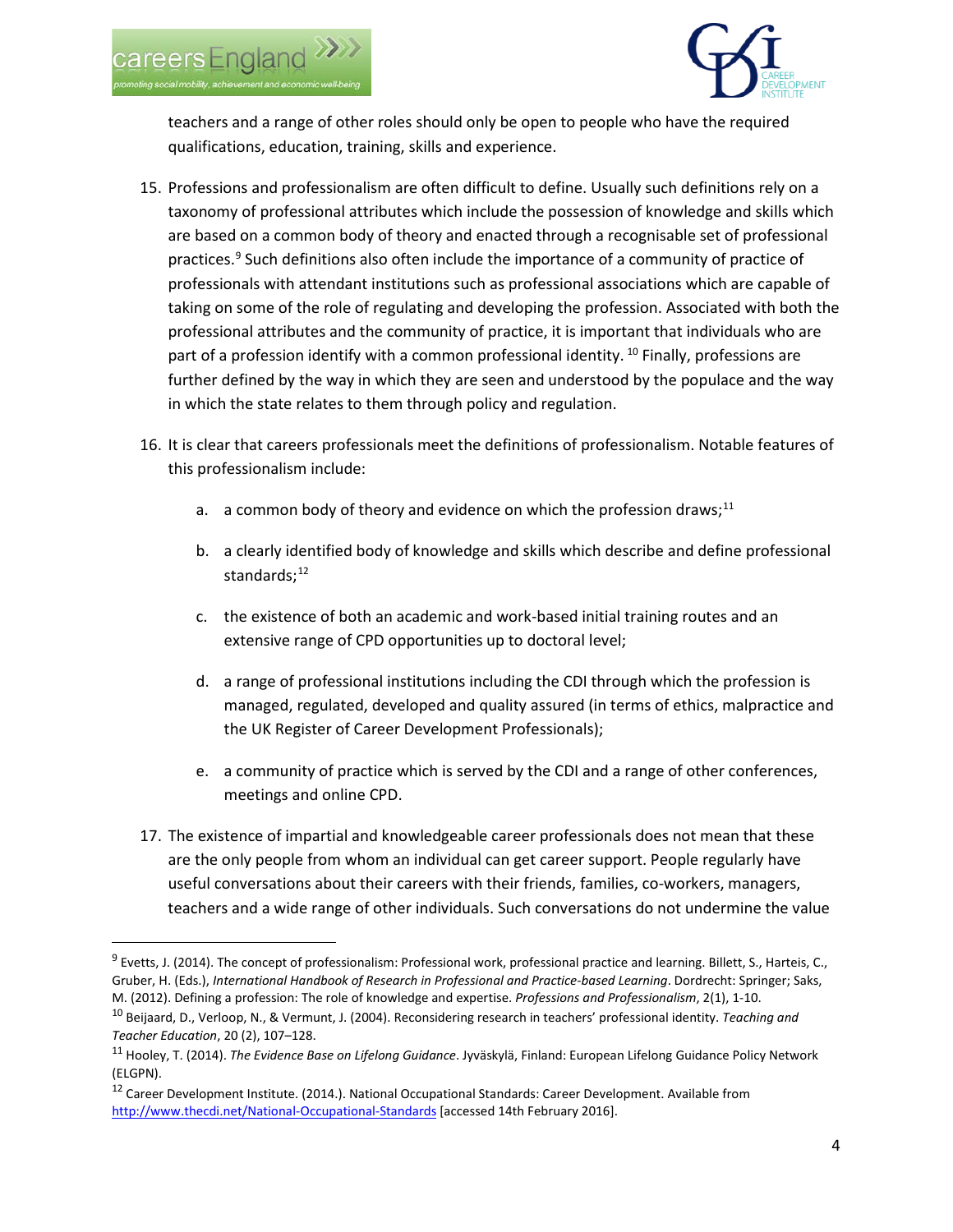



teachers and a range of other roles should only be open to people who have the required qualifications, education, training, skills and experience.

- 15. Professions and professionalism are often difficult to define. Usually such definitions rely on a taxonomy of professional attributes which include the possession of knowledge and skills which are based on a common body of theory and enacted through a recognisable set of professional practices.<sup>9</sup> Such definitions also often include the importance of a community of practice of professionals with attendant institutions such as professional associations which are capable of taking on some of the role of regulating and developing the profession. Associated with both the professional attributes and the community of practice, it is important that individuals who are part of a profession identify with a common professional identity. <sup>[10](#page-3-1)</sup> Finally, professions are further defined by the way in which they are seen and understood by the populace and the way in which the state relates to them through policy and regulation.
- 16. It is clear that careers professionals meet the definitions of professionalism. Notable features of this professionalism include:
	- a. a common body of theory and evidence on which the profession draws;<sup>[11](#page-3-2)</sup>
	- b. a clearly identified body of knowledge and skills which describe and define professional standards: $12$
	- c. the existence of both an academic and work-based initial training routes and an extensive range of CPD opportunities up to doctoral level;
	- d. a range of professional institutions including the CDI through which the profession is managed, regulated, developed and quality assured (in terms of ethics, malpractice and the UK Register of Career Development Professionals);
	- e. a community of practice which is served by the CDI and a range of other conferences, meetings and online CPD.
- 17. The existence of impartial and knowledgeable career professionals does not mean that these are the only people from whom an individual can get career support. People regularly have useful conversations about their careers with their friends, families, co-workers, managers, teachers and a wide range of other individuals. Such conversations do not undermine the value

<span id="page-3-0"></span> $9$  Evetts, J. (2014). The concept of professionalism: Professional work, professional practice and learning. Billett, S., Harteis, C., Gruber, H. (Eds.), *International Handbook of Research in Professional and Practice-based Learning*. Dordrecht: Springer; Saks, M. (2012). Defining a profession: The role of knowledge and expertise. *Professions and Professionalism*, 2(1), 1-10.

<span id="page-3-1"></span><sup>10</sup> Beijaard, D., Verloop, N., & Vermunt, J. (2004). Reconsidering research in teachers' professional identity. *Teaching and Teacher Education*, 20 (2), 107–128.

<span id="page-3-2"></span><sup>11</sup> Hooley, T. (2014). *The Evidence Base on Lifelong Guidance*. Jyväskylä, Finland: European Lifelong Guidance Policy Network (ELGPN).

<span id="page-3-3"></span><sup>12</sup> Career Development Institute. (2014.). National Occupational Standards: Career Development. Available from <http://www.thecdi.net/National-Occupational-Standards> [accessed 14th February 2016].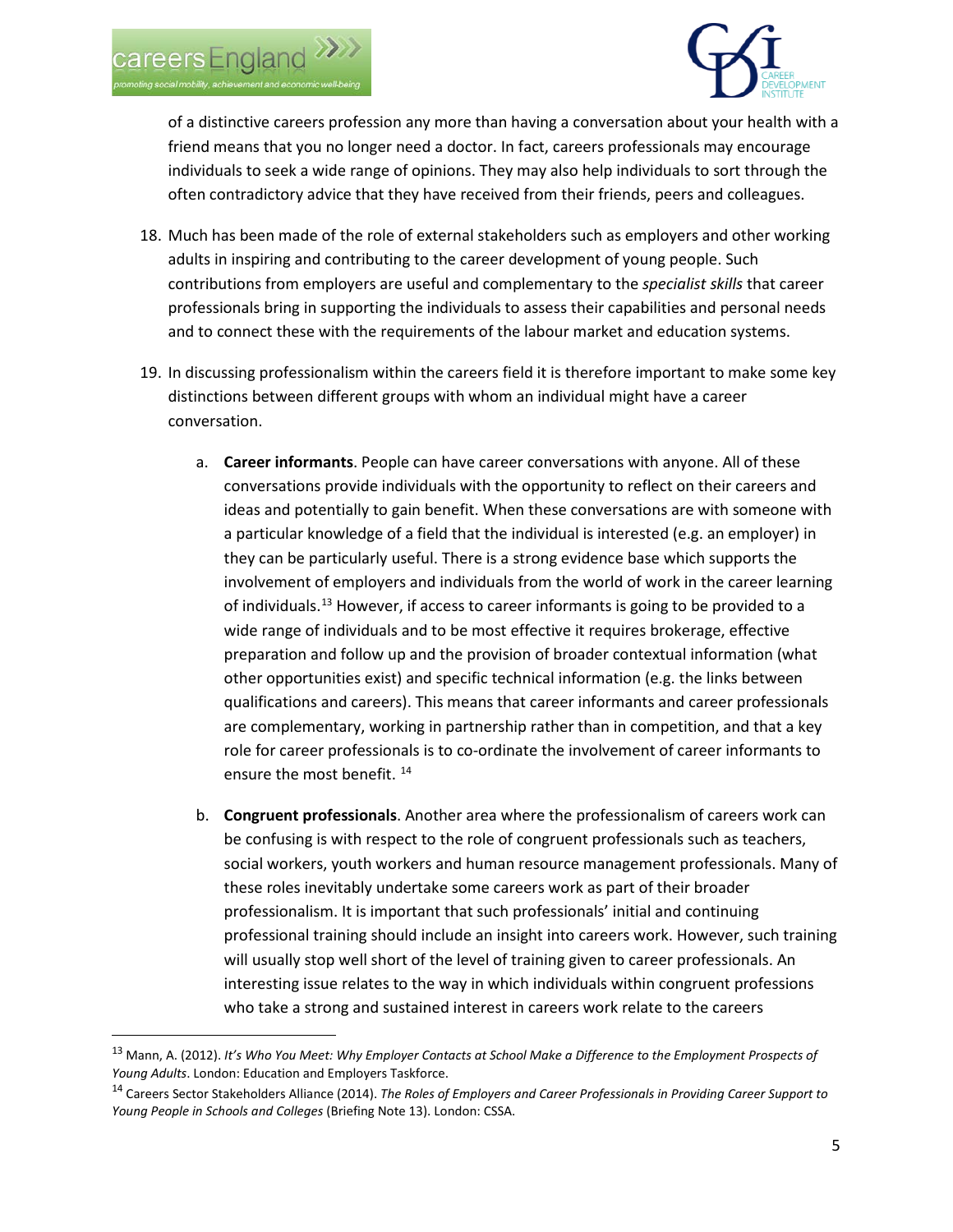

of a distinctive careers profession any more than having a conversation about your health with a friend means that you no longer need a doctor. In fact, careers professionals may encourage individuals to seek a wide range of opinions. They may also help individuals to sort through the often contradictory advice that they have received from their friends, peers and colleagues.

- 18. Much has been made of the role of external stakeholders such as employers and other working adults in inspiring and contributing to the career development of young people. Such contributions from employers are useful and complementary to the *specialist skills* that career professionals bring in supporting the individuals to assess their capabilities and personal needs and to connect these with the requirements of the labour market and education systems.
- 19. In discussing professionalism within the careers field it is therefore important to make some key distinctions between different groups with whom an individual might have a career conversation.
	- a. **Career informants**. People can have career conversations with anyone. All of these conversations provide individuals with the opportunity to reflect on their careers and ideas and potentially to gain benefit. When these conversations are with someone with a particular knowledge of a field that the individual is interested (e.g. an employer) in they can be particularly useful. There is a strong evidence base which supports the involvement of employers and individuals from the world of work in the career learning of individuals.<sup>[13](#page-4-0)</sup> However, if access to career informants is going to be provided to a wide range of individuals and to be most effective it requires brokerage, effective preparation and follow up and the provision of broader contextual information (what other opportunities exist) and specific technical information (e.g. the links between qualifications and careers). This means that career informants and career professionals are complementary, working in partnership rather than in competition, and that a key role for career professionals is to co-ordinate the involvement of career informants to ensure the most benefit.<sup>[14](#page-4-1)</sup>
	- b. **Congruent professionals**. Another area where the professionalism of careers work can be confusing is with respect to the role of congruent professionals such as teachers, social workers, youth workers and human resource management professionals. Many of these roles inevitably undertake some careers work as part of their broader professionalism. It is important that such professionals' initial and continuing professional training should include an insight into careers work. However, such training will usually stop well short of the level of training given to career professionals. An interesting issue relates to the way in which individuals within congruent professions who take a strong and sustained interest in careers work relate to the careers

<span id="page-4-0"></span> <sup>13</sup> Mann, A. (2012). *It's Who You Meet: Why Employer Contacts at School Make a Difference to the Employment Prospects of Young Adults*. London: Education and Employers Taskforce.

<span id="page-4-1"></span><sup>14</sup> Careers Sector Stakeholders Alliance (2014). *The Roles of Employers and Career Professionals in Providing Career Support to Young People in Schools and Colleges* (Briefing Note 13). London: CSSA.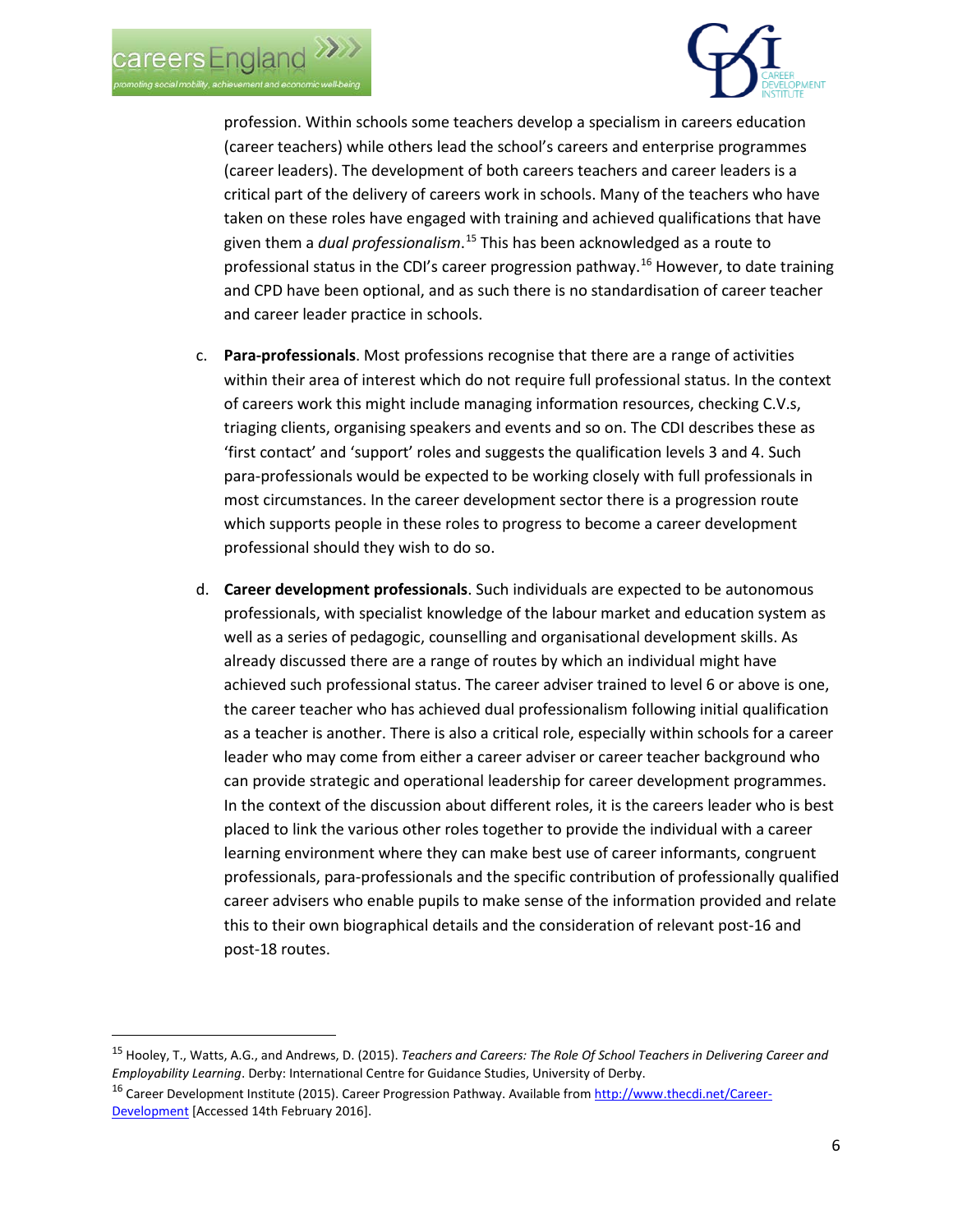



profession. Within schools some teachers develop a specialism in careers education (career teachers) while others lead the school's careers and enterprise programmes (career leaders). The development of both careers teachers and career leaders is a critical part of the delivery of careers work in schools. Many of the teachers who have taken on these roles have engaged with training and achieved qualifications that have given them a *dual professionalism*. [15](#page-5-0) This has been acknowledged as a route to professional status in the CDI's career progression pathway.[16](#page-5-1) However, to date training and CPD have been optional, and as such there is no standardisation of career teacher and career leader practice in schools.

- c. **Para-professionals**. Most professions recognise that there are a range of activities within their area of interest which do not require full professional status. In the context of careers work this might include managing information resources, checking C.V.s, triaging clients, organising speakers and events and so on. The CDI describes these as 'first contact' and 'support' roles and suggests the qualification levels 3 and 4. Such para-professionals would be expected to be working closely with full professionals in most circumstances. In the career development sector there is a progression route which supports people in these roles to progress to become a career development professional should they wish to do so.
- d. **Career development professionals**. Such individuals are expected to be autonomous professionals, with specialist knowledge of the labour market and education system as well as a series of pedagogic, counselling and organisational development skills. As already discussed there are a range of routes by which an individual might have achieved such professional status. The career adviser trained to level 6 or above is one, the career teacher who has achieved dual professionalism following initial qualification as a teacher is another. There is also a critical role, especially within schools for a career leader who may come from either a career adviser or career teacher background who can provide strategic and operational leadership for career development programmes. In the context of the discussion about different roles, it is the careers leader who is best placed to link the various other roles together to provide the individual with a career learning environment where they can make best use of career informants, congruent professionals, para-professionals and the specific contribution of professionally qualified career advisers who enable pupils to make sense of the information provided and relate this to their own biographical details and the consideration of relevant post-16 and post-18 routes.

<span id="page-5-0"></span> <sup>15</sup> Hooley, T., Watts, A.G., and Andrews, D. (2015). *Teachers and Careers: The Role Of School Teachers in Delivering Career and Employability Learning*. Derby: International Centre for Guidance Studies, University of Derby.

<span id="page-5-1"></span><sup>16</sup> Career Development Institute (2015). Career Progression Pathway. Available fro[m http://www.thecdi.net/Career-](http://www.thecdi.net/Career-Development)[Development](http://www.thecdi.net/Career-Development) [Accessed 14th February 2016].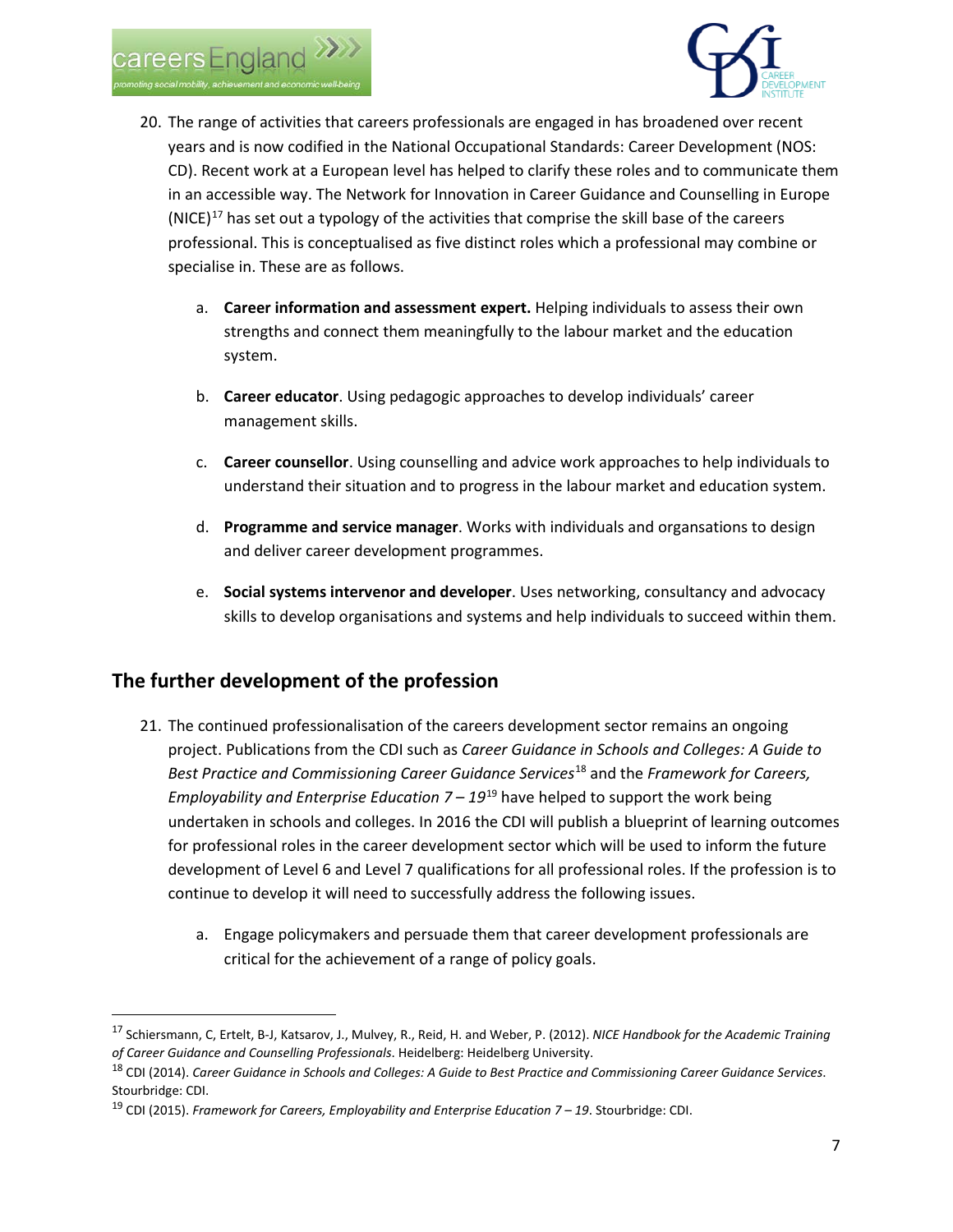



- 20. The range of activities that careers professionals are engaged in has broadened over recent years and is now codified in the National Occupational Standards: Career Development (NOS: CD). Recent work at a European level has helped to clarify these roles and to communicate them in an accessible way. The Network for Innovation in Career Guidance and Counselling in Europe  $(NICE)^{17}$  $(NICE)^{17}$  $(NICE)^{17}$  has set out a typology of the activities that comprise the skill base of the careers professional. This is conceptualised as five distinct roles which a professional may combine or specialise in. These are as follows.
	- a. **Career information and assessment expert.** Helping individuals to assess their own strengths and connect them meaningfully to the labour market and the education system.
	- b. **Career educator**. Using pedagogic approaches to develop individuals' career management skills.
	- c. **Career counsellor**. Using counselling and advice work approaches to help individuals to understand their situation and to progress in the labour market and education system.
	- d. **Programme and service manager**. Works with individuals and organsations to design and deliver career development programmes.
	- e. **Social systems intervenor and developer**. Uses networking, consultancy and advocacy skills to develop organisations and systems and help individuals to succeed within them.

# **The further development of the profession**

- 21. The continued professionalisation of the careers development sector remains an ongoing project. Publications from the CDI such as *Career Guidance in Schools and Colleges: A Guide to Best Practice and Commissioning Career Guidance Services*[18](#page-6-1) and the *Framework for Careers, Employability and Enterprise Education 7 – 19*[19](#page-6-2) have helped to support the work being undertaken in schools and colleges. In 2016 the CDI will publish a blueprint of learning outcomes for professional roles in the career development sector which will be used to inform the future development of Level 6 and Level 7 qualifications for all professional roles. If the profession is to continue to develop it will need to successfully address the following issues.
	- a. Engage policymakers and persuade them that career development professionals are critical for the achievement of a range of policy goals.

<span id="page-6-0"></span> <sup>17</sup> Schiersmann, C, Ertelt, B-J, Katsarov, J., Mulvey, R., Reid, H. and Weber, P. (2012). *NICE Handbook for the Academic Training of Career Guidance and Counselling Professionals*. Heidelberg: Heidelberg University.

<span id="page-6-1"></span><sup>18</sup> CDI (2014). *Career Guidance in Schools and Colleges: A Guide to Best Practice and Commissioning Career Guidance Services*. Stourbridge: CDI.

<span id="page-6-2"></span><sup>19</sup> CDI (2015). *Framework for Careers, Employability and Enterprise Education 7 – 19*. Stourbridge: CDI.